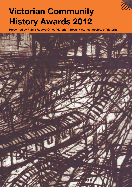

# Victorian Community History Awards 2012

Presented by Public Record Office Victoria & Royal Historical Society of Victoria

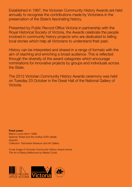Established in 1997, the Victorian Community History Awards are held annually to recognise the contributions made by Victorians in the preservation of the State's fascinating history.

Presented by Public Record Office Victoria in partnership with the Royal Historical Society of Victoria, the Awards celebrate the people involved in community history projects who are dedicated to telling local stories which help all Victorians to understand their past.

History can be interpreted and shared in a range of formats with the aim of reaching and enriching a broad audience. This is reflected through the diversity of the award categories which encourage nominations for innovative projects by groups and individuals across the State.

The 2012 Victorian Community History Awards ceremony was held on Tuesday 23 October in the Great Hall of the National Gallery of Victoria.

Front cover: Marco Luccio (born 1969) *Spencer Street and the rooftop* 2005 (detail) drypoint Collection: Tasmanian Museum and Art Gallery

Cover image of Victorian Community History Award winner *The Art of Being Melbourne* by Maree Coote*.*

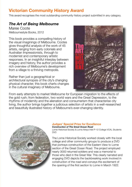# Victorian Community History Award

This award recognises the most outstanding community history project submitted in any category.

### *The Art of Being Melbourne*

Maree Coote Melbournestyle Books, 2012

This book provides a compelling history of the visual imaginings of Melbourne. Cootes gives thoughtful analysis of the work of 45 artists, ranging from early colonials and Australian Impressionists, through to modernist and contemporary artistic responses. In an insightful interplay between imagery and history, the author provides a rich overview of Melbourne's development from a village to a thriving metropolis.

Rather than just a geographical or architectural synopsis of the city's changing physical character, this book charts changes in the cultural imaginary of Melbourne.



From early attempts to market Melbourne for European migration to the effects of the gold rush; from federation, two world wars and the Great Depression, to the rhythms of modernity and the alienation and consumerism that characterise city living, the author brings together a judicious selection of artists in a well-researched and beautifully illustrated history of Melbourne's ever-changing identity.



### Judges' Special Prize for Excellence

*Construction of The Great Ocean Road*

Lorne Historical Society & Lorne Aireys Inlet P-12 College VCAL Students DVD

The Lorne Historical Society worked closely with the local college and other community groups to produce a DVD that portrays construction of the Eastern View to Lorne section of the Great Ocean Road. The project employed nearly 3000 returned soldiers and was a memorial to those who died in the Great War. This clearly narrated and engaging DVD depicts the backbreaking work involved in construction of the road and conveys the excitement of the opening of the first section to Lorne in March 1922.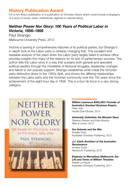# History Publication Award

For a non-fiction publication or e-publication on Victorian history which could include a biography or a story of social, urban, institutional, regional or cultural history.

### *Neither Power Nor Glory: 100 Years of Political Labor in Victoria, 1856–1956*

Paul Strangio Melbourne University Press, 2012

Victoria is lacking in comprehensive histories of its political parties, but Strangio's in-depth look at the Labor party is certainly changing that. This excellent and readable analysis of the years when the Labor party largely failed to achieve office provides insights into many of the reasons for its lack of parliamentary success. The author tells the Labor story in a way that sustains both general and specialist political readers through the minefields of factional struggles, leadership changes and failure to win popular support. Strangio establishes what made the Victorian party distinctive down to the 1950s Split, and shows the differing relationships between the Labor party and the Victorian community over the 100 years since the achievement of the eight hour day in 1856. This is a *tour de force* in a very strong category.



#### Commendations:

*William Lawrence BAILLIEU: Founder of Australia's Greatest Business Empire* Peter Yule Hardie Grant Books, 2012

*University Unlimited: the Monash Story* Graeme Davison and Kate Murphy Allen & Unwin, 2012

*Our Schools and the War* Rosalie Triolo Australian Scholarly Publishing, 2012

#### *J.J. Clark: Architect of the Australian Renaissance* Andrew Dodd

NewSouth Publishing, 2012

*Engineer to Marvellous Melbourne: the Life and Times of William Thwaites* Robert La Nauze Australian Scholarly Publishing, 2011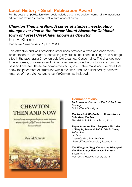# Local History - Small Publication Award

For the best small publication which could include a published booklet, journal, zine or newsletter article which features Victorian local, cultural or social history.

### *Chewton Then and Now: A series of studies investigating change over time in the former Mount Alexander Goldfield town of Forest Creek later known as Chewton*

Ken McKimmie

Deniliquin Newspapers Pty Ltd, 2011

This attractive and well-presented small book provides a fresh approach to the presentation of local history, containing fifty studies of historic buildings and heritage sites in the fascinating Chewton goldfield area near Castlemaine. The changes over time in homes, businesses and mining sites are recorded in photographs from the past and present. These are complemented by informative maps and sketches that show the placement of structures within the sites, and are elucidated by narrative histories of the buildings and sites McKimmie has included.



#### Commendations:

*La Trobeana, Journal of the C.J. La Trobe Society* C.J. La Trobe Society Inc.

*The Heart of Middle Park: Stories from a Suburb by the Sea* The Middle Park History Group, 2011

*Pages from the Past: Snapshot Histories of People, Places & Public Life in Casey & Cardinia* Ian Good Casey Cardinia Branch of the

National Trust of Australia (Victoria), 2011

*The Elongated Dog Kennel: the History of the Malmsbury Mechanics' Institute* Susan Walter Malmsbury Historical Society, 2012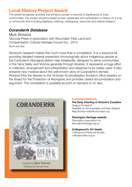# Local History Project Award

This award recognises activities that enhance access to records of significance to local communities. The project should increase access, awareness and participation in history on a local or community level including digitising, indexing, cataloguing, resources and original research.

### *Coranderrk Database*

Mick Woiwod Tarcoola Press in association with Wurundjeri Tribe Land and Compensation Cultural Heritage Council Inc., 2012 Book and disc

Woiwod's research makes this much more than a compilation. It is a resource kit providing detailed material presented chronologically about Indigenous people at the Coranderrk Aboriginal station near Healesville, designed to serve communities in the Yarra Valley and Victoria generally through libraries. It represents a huge effort in collection, arrangement and interpretation and deserves to be widely used. It also presents new material about the well-known story of Coranderrk's demise. Woiwod links the demise to the Victorian Acclimatisation Society's office-bearers on the Board for the Protection of Aborigines and provides careful documentation and argument. This compilation is available as print on demand or on disc.



Compiled by Mick Woiwod Published by Tarcoola Press

### Commendations:

*The Early Charting of Victoria's Coastline* Gregory Eccleston

Available on the Australian and New Zealand Map Society website anzmaps.org

#### *Flemington Heritage website*

Flemington Association Inc. flemingtonheritage.org.au

#### *Collingwood's 101 Hotels*

Collingwood Historical Society collingwoodhs.org.au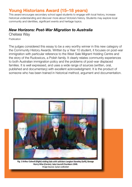# Young Historians Award (15–18 years)

This award encourges secondary school aged students to engage with local history, increase historical understanding and discover more about Victoria's history. Students may explore local community and identities, significant events and heritage topics.

### *New Horizons: Post-War Migration to Australia*

Chelsea Way

Publication

The judges considered this essay to be a very worthy winner in this new category of the Community History Awards. Written by a Year 10 student, it focuses on post-war immigration with particular reference to the West Sale Migrant Holding Centre and the story of the Rudowiczs, a Polish family. It clearly relates community experiences to both Australian immigration policy and the problems of post-war displaced families. It is well expressed, and uses a wide range of sources (written, oral, published and documentary) with excellent acknowledgment. It is the product of someone who has been trained in historical method, argument and documentation.



Fig. 1 Arthur Calwell (Right) visiting Sale with solicitors Langton Staveley (Left), George Henry Wise (Centre). Sale Council Chambers 1948. Image Source: Synan collection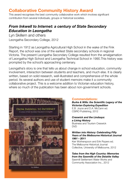# Collaborative Community History Award

This award recognises the best community collaborative work which involves significant contribution from several individuals, groups or historical societies.

### *From Inkwell to Internet: a century of State Secondary Education in Leongatha*

Lyn Skillern and others Leongatha Secondary College, 2012

Starting in 1912 as Leongatha Agricultural High School in the wake of the Fink Report, the school was one of the earliest State secondary schools in regional Victoria. The present Leongatha Secondary College resulted from the amalgamation of Leongatha High School and Leongatha Technical School in 1990.This history was prompted by the school's approaching centenary.

Leongatha's story is one that tells us about change in school education, community involvement, interaction between students and teachers, and much else. It is clearly written, based on solid research, well-illustrated and comprehensive of the whole period. Its several authors and use of student memoirs make it a community collaborative project. This is a welcome addition to Victorian education history, where so much of the publication has been about non-government schools.



Lin Skillern

#### Commendations:

*Burke & Wills: the Scientific Legacy of the Victorian Exploring Expedition*

E.B. Joyce and D.A. McCann ed. CSIRO Publishing, 2012

#### *Creswick and the Lindsays: a Living History*

Business and Tourism Creswick DVD

#### *Written into History: Celebrating Fifty Years of the Melbourne Historical Journal 1961 – 2011*

Keir Wotherspoon and Erik Ropers ed. The Melbourne Historical Journal Collective, University of Melbourne, 2012

### *Tales from the High Country: Memories from the Sawmills of the Delatite Valley*

Sawmill Settlement Water Works and Community Association Inc., 2012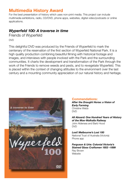# Multimedia History Award

For the best presentation of history which uses non-print media. This project can include multimedia exhibitions, radio, CD/DVD, phone apps, websites, digital video/podcasts or online applications.

### *Wyperfeld 100: A traverse in time*

Friends of Wyperfeld DVD

This delightful DVD was produced by the Friends of Wyperfeld to mark the centenary of the reservation of the first section of Wyperfeld National Park. It is a high quality production combining beautiful filming with historical footage and images, and interviews with people involved with the Park and the surrounding communities. It charts the development and transformation of the Park through the work of the Friends to remove weeds and pests, and to revegetate Wyperfeld. This is placed within the context of changing attitudes to the environment over the last century and a mounting community appreciation of our natural history and heritage.



Commendations: *After the Draught Horse: a Vision of Early Farming*

Christine Webb DVD

*All Aboard: One Hundred Years of History of the Moe-Walhalla Railway* John Aldersea and Barb Hood DVD

*Lost! Melbourne's Lost 100* National Trust of Australia (Victoria) Phone app

*Ferguson & Urie: Colonial Victoria's Stained Glass Craftsmen 1853 –1899* Ray Brown **Website**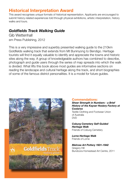# Historical Interpretation Award

This award recognises unique formats of historical representation. Applicants are encouraged to submit history-related experiences told through physical exhibitions, artistic interpretation, history walks and tours.

### *Goldfields Track Walking Guide*

Gib Wettenhall em Press Publishing, 2012

This is a very impressive and superbly presented walking guide to the 210km Goldfields walking track that extends from Mt Buninyong to Bendigo. Heritage tourists will find it equally valuable to identify and appreciate the towns and historic sites along the way. A group of knowledgeable authors has combined to describe, photograph and guide users through the series of map spreads into which the walk is divided. What lifts this book above most guides are informative sections on reading the landscape and cultural heritage along the track, and short biographies of some of the famous district personalities. It is a model for future guides.



### Commendations:

*Sheer Strength in Numbers - a Brief History of the Kayser Hosiery Factory at Coolaroo*

Textile Clothing and Footwear Union of Australia DVD

*Coburg Cemetery Self-Guided Heritage Walk* Friends of Coburg Cemetery

*Lorne Heritage Walk* Friends of Lorne

*Melrose Art Pottery 1931–1942* Gregory Hill Bundoora Homestead Art Centre, 2011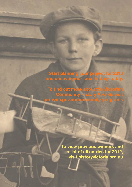Start planning your project for 2013 and uncover your local history today.

To find out more about the Victorian Community History Awards visit prov.vic.gov.au/community-programs

> To view previous winners and a list of all entries for 2012, visit historyvictoria.org.au